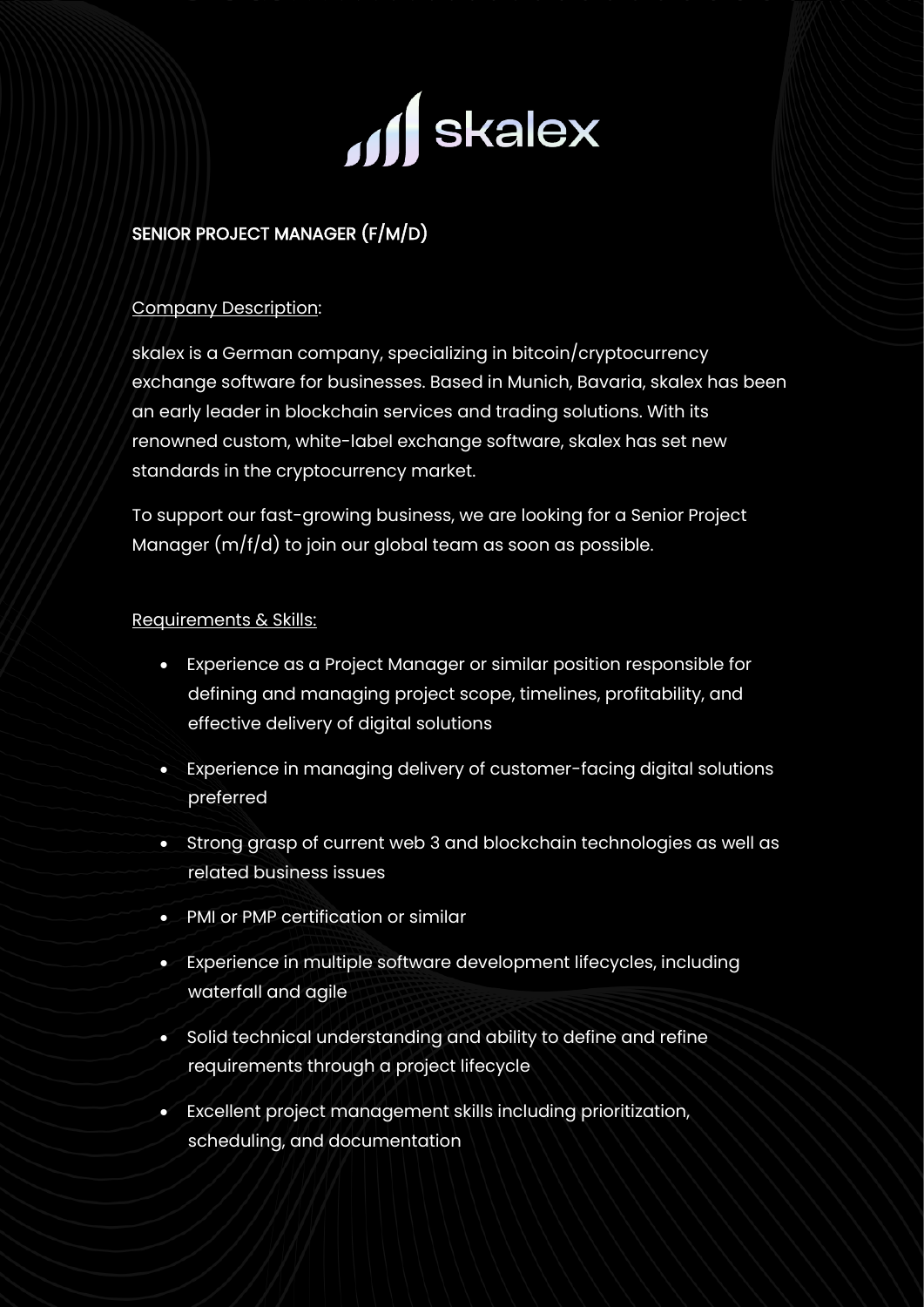

# SENIOR PROJECT MANAGER (F/M/D)

## Company Description:

skalex is a German company, specializing in bitcoin/cryptocurrency exchange software for businesses. Based in Munich, Bavaria, skalex has been an early leader in blockchain services and trading solutions. With its renowned custom, white-label exchange software, skalex has set new standards in the cryptocurrency market.

To support our fast-growing business, we are looking for a Senior Project Manager (m/f/d) to join our global team as soon as possible.

#### Requirements & Skills:

- Experience as a Project Manager or similar position responsible for defining and managing project scope, timelines, profitability, and effective delivery of digital solutions
- Experience in managing delivery of customer-facing digital solutions preferred
- Strong grasp of current web 3 and blockchain technologies as well as related business issues
- PMI or PMP certification or similar
- Experience in multiple software development lifecycles, including waterfall and agile
- Solid technical understanding and ability to define and refine requirements through a project lifecycle
- Excellent project management skills including prioritization, scheduling, and documentation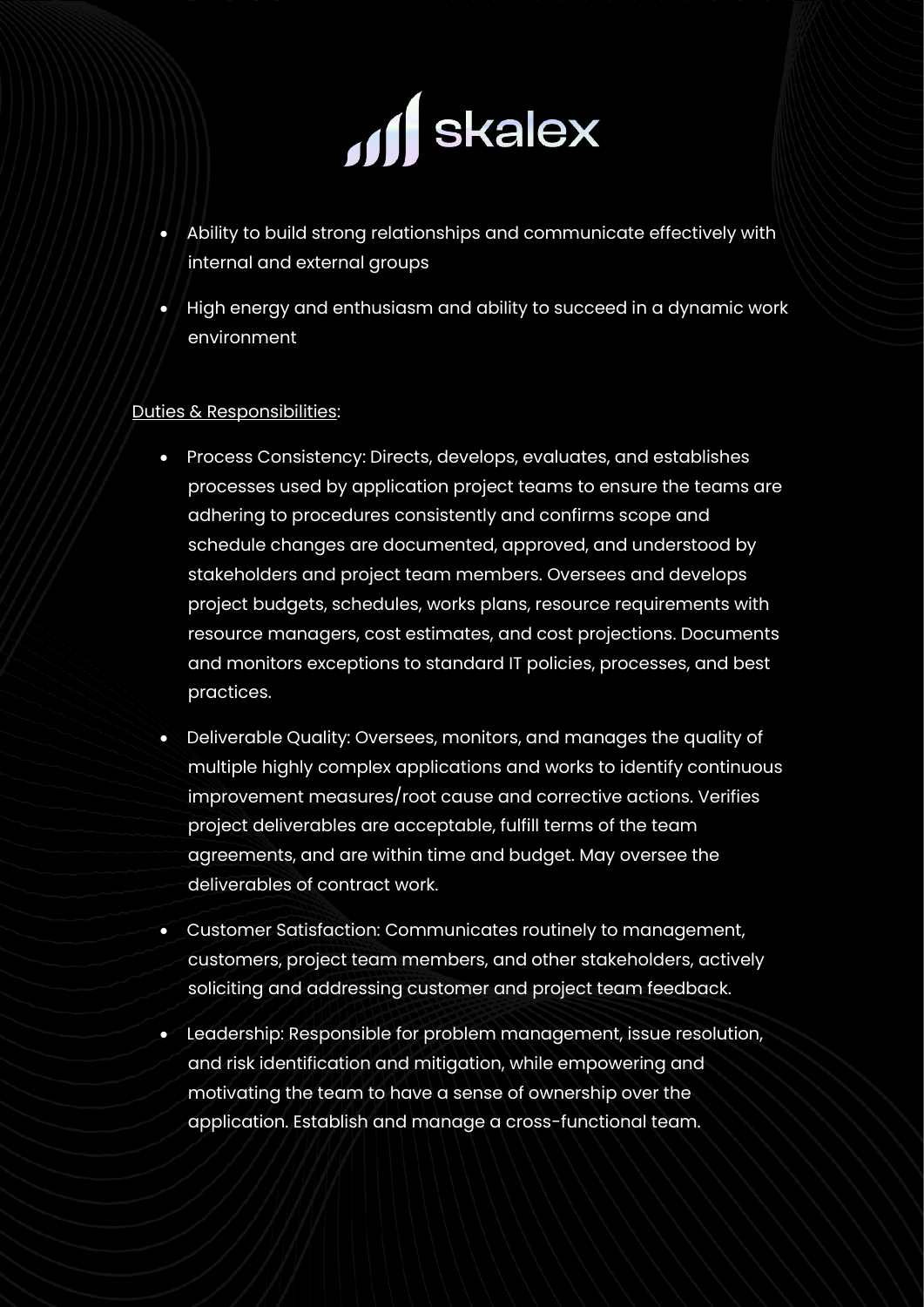

- Ability to build strong relationships and communicate effectively with internal and external groups
- High energy and enthusiasm and ability to succeed in a dynamic work environment

# Duties & Responsibilities:

- Process Consistency: Directs, develops, evaluates, and establishes processes used by application project teams to ensure the teams are adhering to procedures consistently and confirms scope and schedule changes are documented, approved, and understood by stakeholders and project team members. Oversees and develops project budgets, schedules, works plans, resource requirements with resource managers, cost estimates, and cost projections. Documents and monitors exceptions to standard IT policies, processes, and best practices.
- Deliverable Quality: Oversees, monitors, and manages the quality of multiple highly complex applications and works to identify continuous improvement measures/root cause and corrective actions. Verifies project deliverables are acceptable, fulfill terms of the team agreements, and are within time and budget. May oversee the deliverables of contract work.
- Customer Satisfaction: Communicates routinely to management, customers, project team members, and other stakeholders, actively soliciting and addressing customer and project team feedback.
- Leadership: Responsible for problem management, issue resolution, and risk identification and mitigation, while empowering and motivating the team to have a sense of ownership over the application. Establish and manage a cross-functional team.